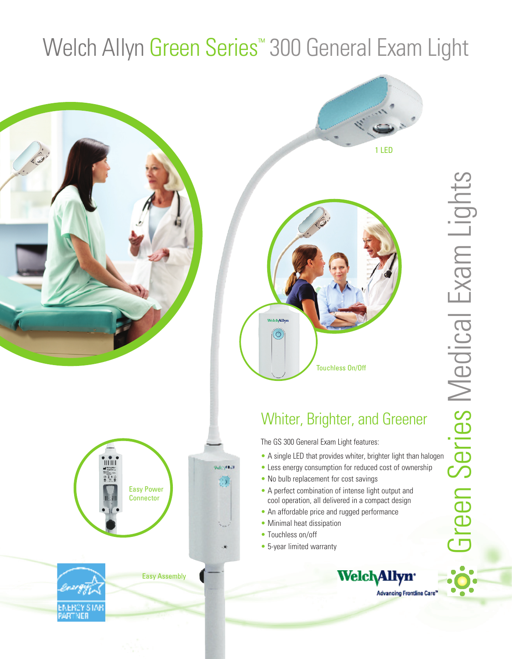# Welch Allyn Green Series<sup>™</sup> 300 General Exam Light







### Whiter, Brighter, and Greener

The GS 300 General Exam Light features:

**Welch Allyn** 

**Advancing Frontline Care** 

- Less energy consumption for reduced cost of ownership
- No bulb replacement for cost savings
- A perfect combination of intense light output and cool operation, all delivered in a compact design
- An affordable price and rugged performance
- Minimal heat dissipation
- Touchless on/off
- 5-year limited warranty



Easy Assembly